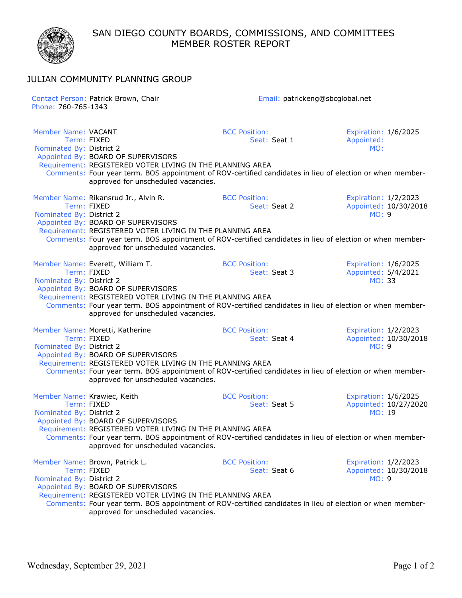SAN DIEGO COUNTY BOARDS, COMMISSIONS, AND COMMITTEES MEMBER ROSTER REPORT



## JULIAN COMMUNITY PLANNING GROUP

| Contact Person: Patrick Brown, Chair<br>Phone: 760-765-1343 |                                                                                                                                                                                                                                                                                                            | Email: patrickeng@sbcglobal.net      |                                                               |  |  |
|-------------------------------------------------------------|------------------------------------------------------------------------------------------------------------------------------------------------------------------------------------------------------------------------------------------------------------------------------------------------------------|--------------------------------------|---------------------------------------------------------------|--|--|
| Member Name: VACANT<br>Nominated By: District 2             | Term: FIXED<br>Appointed By: BOARD OF SUPERVISORS                                                                                                                                                                                                                                                          | <b>BCC Position:</b><br>Seat: Seat 1 | Expiration: 1/6/2025<br>Appointed:<br>MO:                     |  |  |
|                                                             | Requirement: REGISTERED VOTER LIVING IN THE PLANNING AREA<br>Comments: Four year term. BOS appointment of ROV-certified candidates in lieu of election or when member-<br>approved for unscheduled vacancies.                                                                                              |                                      |                                                               |  |  |
| Nominated By: District 2                                    | Member Name: Rikansrud Jr., Alvin R.<br>Term: FIXED<br>Appointed By: BOARD OF SUPERVISORS<br>Requirement: REGISTERED VOTER LIVING IN THE PLANNING AREA<br>Comments: Four year term. BOS appointment of ROV-certified candidates in lieu of election or when member-<br>approved for unscheduled vacancies. | <b>BCC Position:</b><br>Seat: Seat 2 | Expiration: 1/2/2023<br>Appointed: 10/30/2018<br><b>MO: 9</b> |  |  |
| Nominated By: District 2                                    | Member Name: Everett, William T.<br>Term: FIXED<br>Appointed By: BOARD OF SUPERVISORS<br>Requirement: REGISTERED VOTER LIVING IN THE PLANNING AREA<br>Comments: Four year term. BOS appointment of ROV-certified candidates in lieu of election or when member-<br>approved for unscheduled vacancies.     | <b>BCC Position:</b><br>Seat: Seat 3 | Expiration: 1/6/2025<br>Appointed: 5/4/2021<br>MO: 33         |  |  |
| Nominated By: District 2                                    | Member Name: Moretti, Katherine<br>Term: FIXED<br>Appointed By: BOARD OF SUPERVISORS<br>Requirement: REGISTERED VOTER LIVING IN THE PLANNING AREA<br>Comments: Four year term. BOS appointment of ROV-certified candidates in lieu of election or when member-<br>approved for unscheduled vacancies.      | <b>BCC Position:</b><br>Seat: Seat 4 | Expiration: 1/2/2023<br>Appointed: 10/30/2018<br><b>MO: 9</b> |  |  |
| Member Name: Krawiec, Keith<br>Nominated By: District 2     | Term: FIXED<br>Appointed By: BOARD OF SUPERVISORS<br>Requirement: REGISTERED VOTER LIVING IN THE PLANNING AREA<br>Comments: Four year term. BOS appointment of ROV-certified candidates in lieu of election or when member-<br>approved for unscheduled vacancies.                                         | <b>BCC Position:</b><br>Seat: Seat 5 | Expiration: 1/6/2025<br>Appointed: 10/27/2020<br>MO: 19       |  |  |
| Nominated By: District 2                                    | Member Name: Brown, Patrick L.<br>Term: FIXED<br>Appointed By: BOARD OF SUPERVISORS<br>Requirement: REGISTERED VOTER LIVING IN THE PLANNING AREA<br>Comments: Four year term. BOS appointment of ROV-certified candidates in lieu of election or when member-<br>approved for unscheduled vacancies.       | <b>BCC Position:</b><br>Seat: Seat 6 | Expiration: 1/2/2023<br>Appointed: 10/30/2018<br><b>MO: 9</b> |  |  |